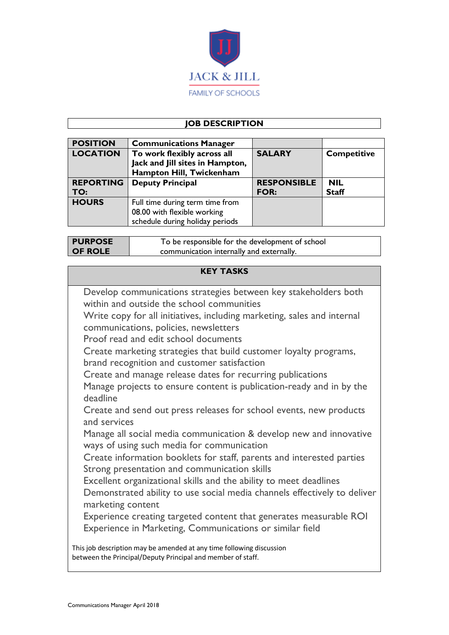

# **JOB DESCRIPTION**

| <b>POSITION</b>  | <b>Communications Manager</b>   |                    |                    |
|------------------|---------------------------------|--------------------|--------------------|
| <b>LOCATION</b>  | To work flexibly across all     | <b>SALARY</b>      | <b>Competitive</b> |
|                  | Jack and Jill sites in Hampton, |                    |                    |
|                  | Hampton Hill, Twickenham        |                    |                    |
| <b>REPORTING</b> | <b>Deputy Principal</b>         | <b>RESPONSIBLE</b> | <b>NIL</b>         |
| TO:              |                                 | <b>FOR:</b>        | <b>Staff</b>       |
| <b>HOURS</b>     | Full time during term time from |                    |                    |
|                  | 08.00 with flexible working     |                    |                    |
|                  | schedule during holiday periods |                    |                    |

| <b>PURPOSE</b> | To be responsible for the development of school |  |
|----------------|-------------------------------------------------|--|
| <b>OF ROLE</b> | communication internally and externally.        |  |

# **KEY TASKS**

| Develop communications strategies between key stakeholders both<br>within and outside the school communities                        |
|-------------------------------------------------------------------------------------------------------------------------------------|
| Write copy for all initiatives, including marketing, sales and internal<br>communications, policies, newsletters                    |
| Proof read and edit school documents                                                                                                |
| Create marketing strategies that build customer loyalty programs,<br>brand recognition and customer satisfaction                    |
| Create and manage release dates for recurring publications                                                                          |
| Manage projects to ensure content is publication-ready and in by the<br>deadline                                                    |
| Create and send out press releases for school events, new products<br>and services                                                  |
| Manage all social media communication & develop new and innovative<br>ways of using such media for communication                    |
| Create information booklets for staff, parents and interested parties<br>Strong presentation and communication skills               |
| Excellent organizational skills and the ability to meet deadlines                                                                   |
| Demonstrated ability to use social media channels effectively to deliver<br>marketing content                                       |
| Experience creating targeted content that generates measurable ROI                                                                  |
| Experience in Marketing, Communications or similar field                                                                            |
| This job description may be amended at any time following discussion<br>between the Principal/Deputy Principal and member of staff. |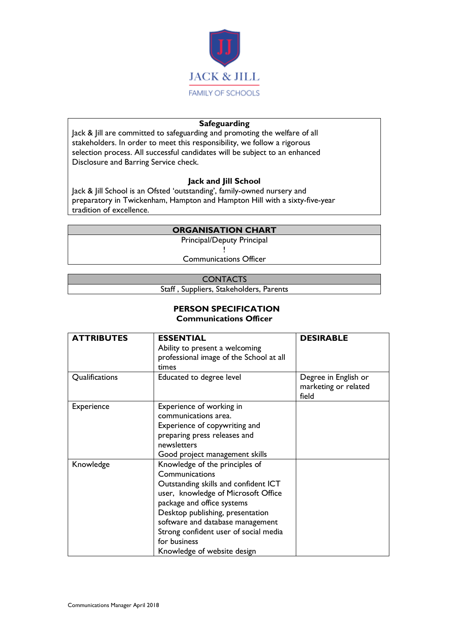

### **Safeguarding**

Jack & Jill are committed to safeguarding and promoting the welfare of all stakeholders. In order to meet this responsibility, we follow a rigorous selection process. All successful candidates will be subject to an enhanced Disclosure and Barring Service check.

### **Jack and Jill School**

Jack & Jill School is an Ofsted 'outstanding', family-owned nursery and preparatory in Twickenham, Hampton and Hampton Hill with a sixty-five-year tradition of excellence.

### **ORGANISATION CHART**

Principal/Deputy Principal

! Communications Officer

#### **CONTACTS**

Staff , Suppliers, Stakeholders, Parents

#### **PERSON SPECIFICATION Communications Officer**

| <b>ATTRIBUTES</b> | <b>ESSENTIAL</b><br>Ability to present a welcoming<br>professional image of the School at all | <b>DESIRABLE</b>                                      |
|-------------------|-----------------------------------------------------------------------------------------------|-------------------------------------------------------|
|                   | times                                                                                         |                                                       |
| Qualifications    | Educated to degree level                                                                      | Degree in English or<br>marketing or related<br>field |
| <b>Experience</b> | Experience of working in                                                                      |                                                       |
|                   | communications area.                                                                          |                                                       |
|                   | Experience of copywriting and                                                                 |                                                       |
|                   | preparing press releases and                                                                  |                                                       |
|                   | newsletters                                                                                   |                                                       |
|                   | Good project management skills                                                                |                                                       |
| Knowledge         | Knowledge of the principles of                                                                |                                                       |
|                   | Communications                                                                                |                                                       |
|                   | Outstanding skills and confident ICT                                                          |                                                       |
|                   | user, knowledge of Microsoft Office                                                           |                                                       |
|                   | package and office systems                                                                    |                                                       |
|                   | Desktop publishing, presentation                                                              |                                                       |
|                   | software and database management                                                              |                                                       |
|                   | Strong confident user of social media                                                         |                                                       |
|                   | for business                                                                                  |                                                       |
|                   | Knowledge of website design                                                                   |                                                       |